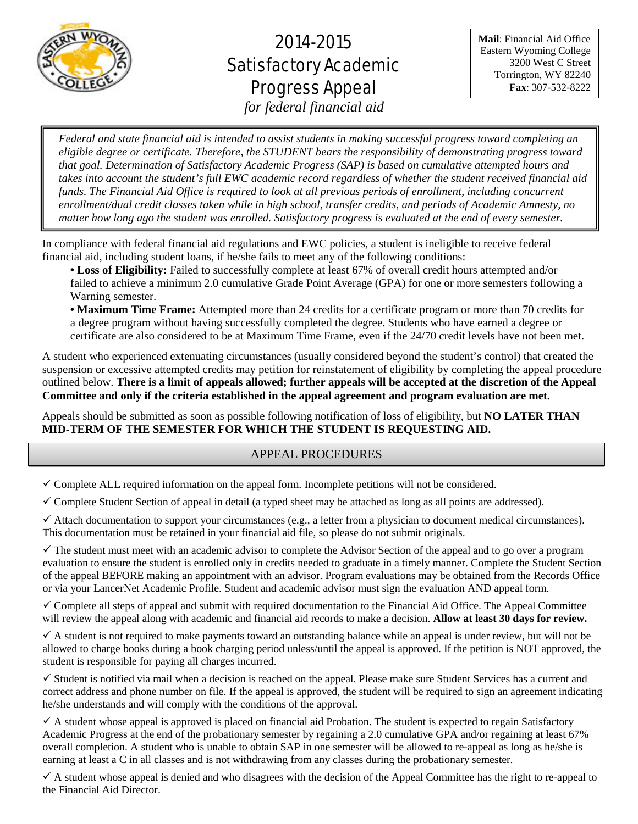

# 2014-2015 Satisfactory Academic Progress Appeal

**Mail**: Financial Aid Office Eastern Wyoming College 3200 West C Street Torrington, WY 82240 **Fax**: 307-532-8222

*for federal financial aid*֦

1 .<br>F  $\overline{\phantom{a}}$ Ĭ .<br>.  $\overline{\phantom{a}}$ ์<br>-*Federal and state financial aid is intended to assist students in making successful progress toward completing an eligible degree or certificate. Therefore, the STUDENT bears the responsibility of demonstrating progress toward that goal. Determination of Satisfactory Academic Progress (SAP) is based on cumulative attempted hours and takes into account the student's full EWC academic record regardless of whether the student received financial aid funds. The Financial Aid Office is required to look at all previous periods of enrollment, including concurrent enrollment/dual credit classes taken while in high school, transfer credits, and periods of Academic Amnesty, no matter how long ago the student was enrolled. Satisfactory progress is evaluated at the end of every semester.*

In compliance with federal financial aid regulations and EWC policies, a student is ineligible to receive federal financial aid, including student loans, if he/she fails to meet any of the following conditions:

**• Loss of Eligibility:** Failed to successfully complete at least 67% of overall credit hours attempted and/or failed to achieve a minimum 2.0 cumulative Grade Point Average (GPA) for one or more semesters following a Warning semester.

**• Maximum Time Frame:** Attempted more than 24 credits for a certificate program or more than 70 credits for a degree program without having successfully completed the degree. Students who have earned a degree or certificate are also considered to be at Maximum Time Frame, even if the 24/70 credit levels have not been met.

A student who experienced extenuating circumstances (usually considered beyond the student's control) that created the suspension or excessive attempted credits may petition for reinstatement of eligibility by completing the appeal procedure outlined below. **There is a limit of appeals allowed; further appeals will be accepted at the discretion of the Appeal Committee and only if the criteria established in the appeal agreement and program evaluation are met.** 

Appeals should be submitted as soon as possible following notification of loss of eligibility, but **NO LATER THAN MID-TERM OF THE SEMESTER FOR WHICH THE STUDENT IS REQUESTING AID.**

## APPEAL PROCEDURES

 $\checkmark$  Complete ALL required information on the appeal form. Incomplete petitions will not be considered.

 $\checkmark$  Complete Student Section of appeal in detail (a typed sheet may be attached as long as all points are addressed).

 $\checkmark$  Attach documentation to support your circumstances (e.g., a letter from a physician to document medical circumstances). This documentation must be retained in your financial aid file, so please do not submit originals.

 $\checkmark$  The student must meet with an academic advisor to complete the Advisor Section of the appeal and to go over a program evaluation to ensure the student is enrolled only in credits needed to graduate in a timely manner. Complete the Student Section of the appeal BEFORE making an appointment with an advisor. Program evaluations may be obtained from the Records Office or via your LancerNet Academic Profile. Student and academic advisor must sign the evaluation AND appeal form.

 $\checkmark$  Complete all steps of appeal and submit with required documentation to the Financial Aid Office. The Appeal Committee will review the appeal along with academic and financial aid records to make a decision. **Allow at least 30 days for review.** 

 $\checkmark$  A student is not required to make payments toward an outstanding balance while an appeal is under review, but will not be allowed to charge books during a book charging period unless/until the appeal is approved. If the petition is NOT approved, the student is responsible for paying all charges incurred.

 $\checkmark$  Student is notified via mail when a decision is reached on the appeal. Please make sure Student Services has a current and correct address and phone number on file. If the appeal is approved, the student will be required to sign an agreement indicating he/she understands and will comply with the conditions of the approval.

 $\checkmark$  A student whose appeal is approved is placed on financial aid Probation. The student is expected to regain Satisfactory Academic Progress at the end of the probationary semester by regaining a 2.0 cumulative GPA and/or regaining at least 67% overall completion. A student who is unable to obtain SAP in one semester will be allowed to re-appeal as long as he/she is earning at least a C in all classes and is not withdrawing from any classes during the probationary semester.

 $\checkmark$  A student whose appeal is denied and who disagrees with the decision of the Appeal Committee has the right to re-appeal to the Financial Aid Director.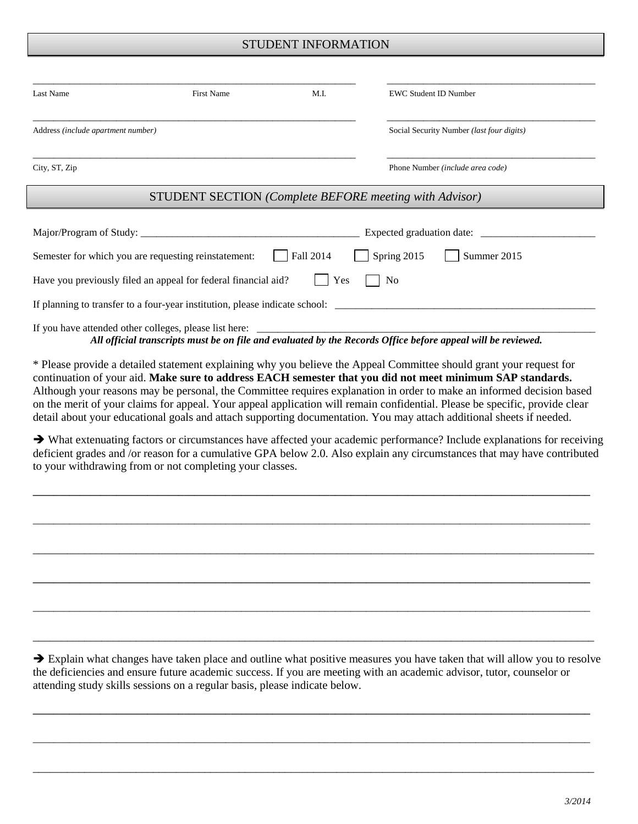### STUDENT INFORMATION

| Last Name                          | First Name                                                     | M.I.      | EWC Student ID Number                                                       |
|------------------------------------|----------------------------------------------------------------|-----------|-----------------------------------------------------------------------------|
| Address (include apartment number) |                                                                |           | Social Security Number (last four digits)                                   |
| City, ST, Zip                      |                                                                |           | Phone Number (include area code)                                            |
|                                    |                                                                |           | <b>STUDENT SECTION</b> (Complete BEFORE meeting with Advisor)               |
|                                    |                                                                |           |                                                                             |
|                                    | Semester for which you are requesting reinstatement:           | Fall 2014 | Spring 2015<br>Summer 2015                                                  |
|                                    | Have you previously filed an appeal for federal financial aid? | Yes       | No                                                                          |
|                                    |                                                                |           | If planning to transfer to a four-year institution, please indicate school: |
|                                    | If you have attended other colleges, please list here:         |           |                                                                             |

*All official transcripts must be on file and evaluated by the Records Office before appeal will be reviewed.*

\* Please provide a detailed statement explaining why you believe the Appeal Committee should grant your request for continuation of your aid. **Make sure to address EACH semester that you did not meet minimum SAP standards.**  Although your reasons may be personal, the Committee requires explanation in order to make an informed decision based on the merit of your claims for appeal. Your appeal application will remain confidential. Please be specific, provide clear detail about your educational goals and attach supporting documentation. You may attach additional sheets if needed.

 What extenuating factors or circumstances have affected your academic performance? Include explanations for receiving deficient grades and /or reason for a cumulative GPA below 2.0. Also explain any circumstances that may have contributed to your withdrawing from or not completing your classes.

**\_\_\_\_\_\_\_\_\_\_\_\_\_\_\_\_\_\_\_\_\_\_\_\_\_\_\_\_\_\_\_\_\_\_\_\_\_\_\_\_\_\_\_\_\_\_\_\_\_\_\_\_\_\_\_\_\_\_\_\_\_\_\_\_\_\_\_\_\_\_\_\_\_\_\_\_\_\_\_\_\_\_\_\_\_\_\_\_\_\_\_\_\_\_\_\_\_\_\_\_\_\_\_\_\_\_\_**

\_\_\_\_\_\_\_\_\_\_\_\_\_\_\_\_\_\_\_\_\_\_\_\_\_\_\_\_\_\_\_\_\_\_\_\_\_\_\_\_\_\_\_\_\_\_\_\_\_\_\_\_\_\_\_\_\_\_\_\_\_\_\_\_\_\_\_\_\_\_\_\_\_\_\_\_\_\_\_\_\_\_\_\_\_\_\_\_\_\_\_\_\_\_\_\_\_\_\_\_\_\_\_\_\_\_\_

\_\_\_\_\_\_\_\_\_\_\_\_\_\_\_\_\_\_\_\_\_\_\_\_\_\_\_\_\_\_\_\_\_\_\_\_\_\_\_\_\_\_\_\_\_\_\_\_\_\_\_\_\_\_\_\_\_\_\_\_\_\_\_\_\_\_\_\_\_\_\_\_\_\_\_\_\_\_\_\_\_\_\_\_\_\_\_\_\_\_\_\_\_\_\_\_\_\_

**\_\_\_\_\_\_\_\_\_\_\_\_\_\_\_\_\_\_\_\_\_\_\_\_\_\_\_\_\_\_\_\_\_\_\_\_\_\_\_\_\_\_\_\_\_\_\_\_\_\_\_\_\_\_\_\_\_\_\_\_\_\_\_\_\_\_\_\_\_\_\_\_\_\_\_\_\_\_\_\_\_\_\_\_\_\_\_\_\_\_\_\_\_\_\_\_\_\_\_\_\_\_\_\_\_\_\_**

\_\_\_\_\_\_\_\_\_\_\_\_\_\_\_\_\_\_\_\_\_\_\_\_\_\_\_\_\_\_\_\_\_\_\_\_\_\_\_\_\_\_\_\_\_\_\_\_\_\_\_\_\_\_\_\_\_\_\_\_\_\_\_\_\_\_\_\_\_\_\_\_\_\_\_\_\_\_\_\_\_\_\_\_\_\_\_\_\_\_\_\_\_\_\_\_\_\_\_\_\_\_\_\_\_\_\_

 $\rightarrow$  Explain what changes have taken place and outline what positive measures you have taken that will allow you to resolve the deficiencies and ensure future academic success. If you are meeting with an academic advisor, tutor, counselor or attending study skills sessions on a regular basis, please indicate below.

**\_\_\_\_\_\_\_\_\_\_\_\_\_\_\_\_\_\_\_\_\_\_\_\_\_\_\_\_\_\_\_\_\_\_\_\_\_\_\_\_\_\_\_\_\_\_\_\_\_\_\_\_\_\_\_\_\_\_\_\_\_\_\_\_\_\_\_\_\_\_\_\_\_\_\_\_\_\_\_\_\_\_\_\_\_\_\_\_\_\_\_\_\_\_\_\_\_\_\_\_\_\_\_\_\_\_\_**

\_\_\_\_\_\_\_\_\_\_\_\_\_\_\_\_\_\_\_\_\_\_\_\_\_\_\_\_\_\_\_\_\_\_\_\_\_\_\_\_\_\_\_\_\_\_\_\_\_\_\_\_\_\_\_\_\_\_\_\_\_\_\_\_\_\_\_\_\_\_\_\_\_\_\_\_\_\_\_\_\_\_\_\_\_\_\_\_\_\_\_\_\_\_\_\_\_\_\_\_\_\_\_\_\_\_\_

\_\_\_\_\_\_\_\_\_\_\_\_\_\_\_\_\_\_\_\_\_\_\_\_\_\_\_\_\_\_\_\_\_\_\_\_\_\_\_\_\_\_\_\_\_\_\_\_\_\_\_\_\_\_\_\_\_\_\_\_\_\_\_\_\_\_\_\_\_\_\_\_\_\_\_\_\_\_\_\_\_\_\_\_\_\_\_\_\_\_\_\_\_\_\_\_\_\_

\_\_\_\_\_\_\_\_\_\_\_\_\_\_\_\_\_\_\_\_\_\_\_\_\_\_\_\_\_\_\_\_\_\_\_\_\_\_\_\_\_\_\_\_\_\_\_\_\_\_\_\_\_\_\_\_\_\_\_\_\_\_\_\_\_\_\_\_\_\_\_\_\_\_\_\_\_\_\_\_\_\_\_\_\_\_\_\_\_\_\_\_\_\_\_\_\_\_